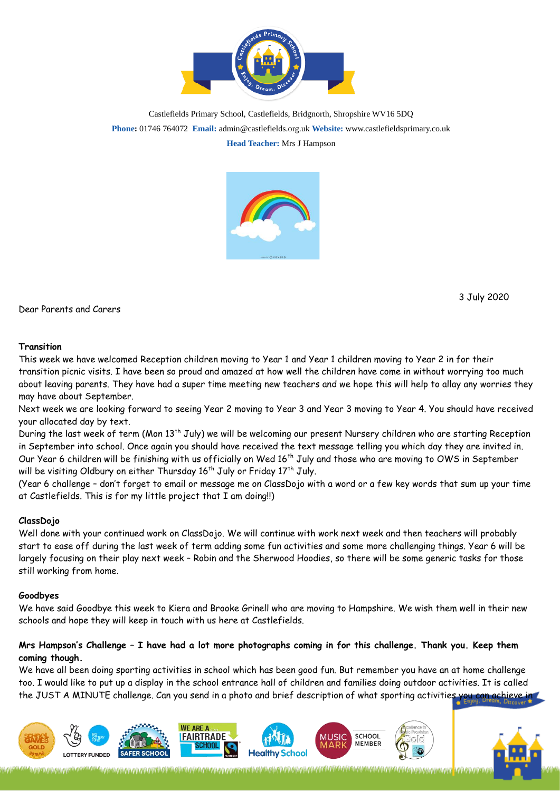

Castlefields Primary School, Castlefields, Bridgnorth, Shropshire WV16 5DQ **Phone:** 01746 764072 **Email:** admin@castlefields.org.uk **Website:** www.castlefieldsprimary.co.uk **Head Teacher:** Mrs J Hampson



D[ear P](https://creativecommons.org/licenses/by/3.0/)arents and Care[rs](https://creativecommons.org/licenses/by/3.0/)

3 July 2020

## **Transition**

This week we have welcomed Reception children moving to Year 1 and Year 1 children moving to Year 2 in for their transition picnic visits. I have been so proud and amazed at how well the children have come in without worrying too much about leaving parents. They have had a super time meeting new teachers and we hope this will help to allay any worries they may have about September.

Next week we are looking forward to seeing Year 2 moving to Year 3 and Year 3 moving to Year 4. You should have received your allocated day by text.

During the last week of term (Mon 13<sup>th</sup> July) we will be welcoming our present Nursery children who are starting Reception in September into school. Once again you should have received the text message telling you which day they are invited in. Our Year 6 children will be finishing with us officially on Wed 16<sup>th</sup> July and those who are moving to OWS in September will be visiting Oldbury on either Thursday  $16^{\text{th}}$  July or Friday 17 $^{\text{th}}$  July.

(Year 6 challenge – don't forget to email or message me on ClassDojo with a word or a few key words that sum up your time at Castlefields. This is for my little project that I am doing!!)

## **ClassDojo**

Well done with your continued work on ClassDojo. We will continue with work next week and then teachers will probably start to ease off during the last week of term adding some fun activities and some more challenging things. Year 6 will be largely focusing on their play next week – Robin and the Sherwood Hoodies, so there will be some generic tasks for those still working from home.

## **Goodbyes**

We have said Goodbye this week to Kiera and Brooke Grinell who are moving to Hampshire. We wish them well in their new schools and hope they will keep in touch with us here at Castlefields.

## **Mrs Hampson's Challenge – I have had a lot more photographs coming in for this challenge. Thank you. Keep them coming though.**

We have all been doing sporting activities in school which has been good fun. But remember you have an at home challenge too. I would like to put up a display in the school entrance hall of children and families doing outdoor activities. It is called the JUST A MINUTE challenge. Can you send in a photo and brief description of what sporting activities